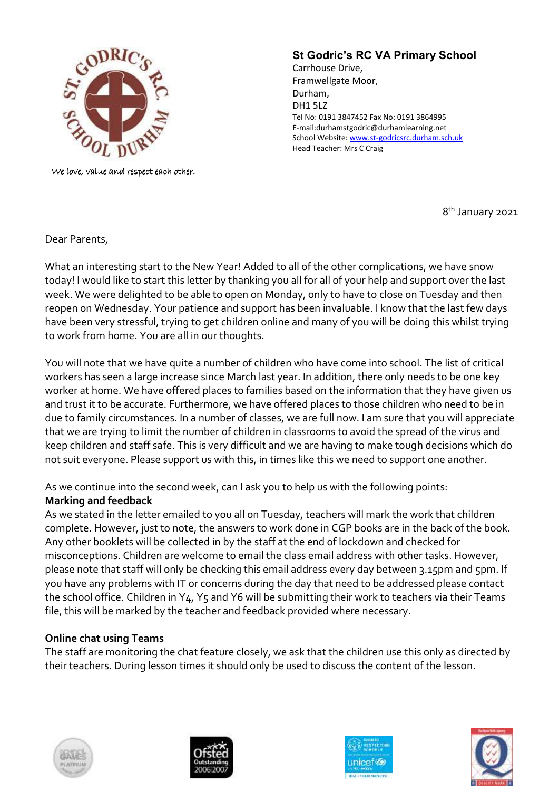

We love, value and respect each other.

## **St Godric's RC VA Primary School**

Carrhouse Drive, Framwellgate Moor, Durham, DH1 5LZ Tel No: 0191 3847452 Fax No: 0191 3864995 E-mail:durhamstgodric@durhamlearning.net School Website[: www.st-godricsrc.durham.sch.uk](http://www.st-godricsrc.durham.sch.uk/) Head Teacher: Mrs C Craig

8<sup>th</sup> January 2021

Dear Parents,

What an interesting start to the New Year! Added to all of the other complications, we have snow today! I would like to start this letter by thanking you all for all of your help and support over the last week. We were delighted to be able to open on Monday, only to have to close on Tuesday and then reopen on Wednesday. Your patience and support has been invaluable. I know that the last few days have been very stressful, trying to get children online and many of you will be doing this whilst trying to work from home. You are all in our thoughts.

You will note that we have quite a number of children who have come into school. The list of critical workers has seen a large increase since March last year. In addition, there only needs to be one key worker at home. We have offered places to families based on the information that they have given us and trust it to be accurate. Furthermore, we have offered places to those children who need to be in due to family circumstances. In a number of classes, we are full now. I am sure that you will appreciate that we are trying to limit the number of children in classrooms to avoid the spread of the virus and keep children and staff safe. This is very difficult and we are having to make tough decisions which do not suit everyone. Please support us with this, in times like this we need to support one another.

## As we continue into the second week, can I ask you to help us with the following points: **Marking and feedback**

As we stated in the letter emailed to you all on Tuesday, teachers will mark the work that children complete. However, just to note, the answers to work done in CGP books are in the back of the book. Any other booklets will be collected in by the staff at the end of lockdown and checked for misconceptions. Children are welcome to email the class email address with other tasks. However, please note that staff will only be checking this email address every day between 3.15pm and 5pm. If you have any problems with IT or concerns during the day that need to be addressed please contact the school office. Children in Y4, Y5 and Y6 will be submitting their work to teachers via their Teams file, this will be marked by the teacher and feedback provided where necessary.

## **Online chat using Teams**

The staff are monitoring the chat feature closely, we ask that the children use this only as directed by their teachers. During lesson times it should only be used to discuss the content of the lesson.